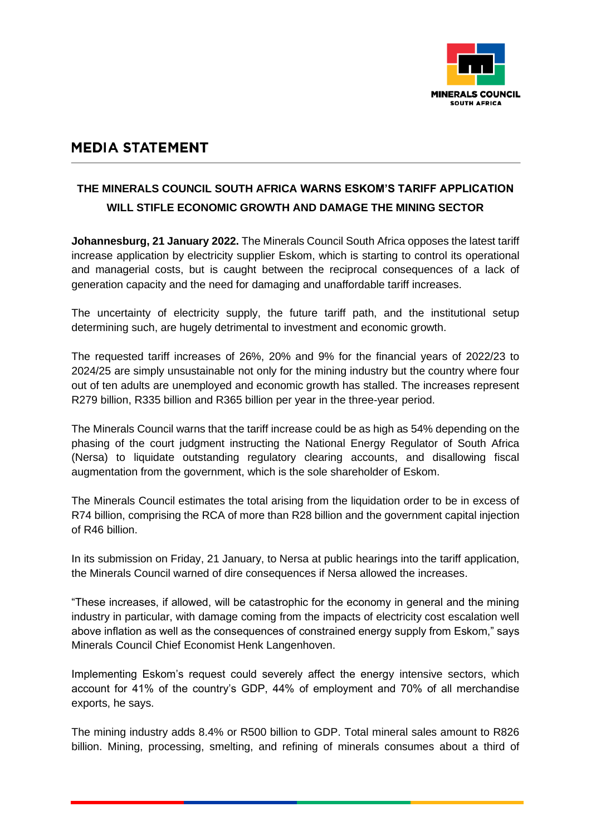

## **MEDIA STATEMENT**

## **THE MINERALS COUNCIL SOUTH AFRICA WARNS ESKOM'S TARIFF APPLICATION WILL STIFLE ECONOMIC GROWTH AND DAMAGE THE MINING SECTOR**

**Johannesburg, 21 January 2022.** The Minerals Council South Africa opposes the latest tariff increase application by electricity supplier Eskom, which is starting to control its operational and managerial costs, but is caught between the reciprocal consequences of a lack of generation capacity and the need for damaging and unaffordable tariff increases.

The uncertainty of electricity supply, the future tariff path, and the institutional setup determining such, are hugely detrimental to investment and economic growth.

The requested tariff increases of 26%, 20% and 9% for the financial years of 2022/23 to 2024/25 are simply unsustainable not only for the mining industry but the country where four out of ten adults are unemployed and economic growth has stalled. The increases represent R279 billion, R335 billion and R365 billion per year in the three-year period.

The Minerals Council warns that the tariff increase could be as high as 54% depending on the phasing of the court judgment instructing the National Energy Regulator of South Africa (Nersa) to liquidate outstanding regulatory clearing accounts, and disallowing fiscal augmentation from the government, which is the sole shareholder of Eskom.

The Minerals Council estimates the total arising from the liquidation order to be in excess of R74 billion, comprising the RCA of more than R28 billion and the government capital injection of R46 billion.

In its submission on Friday, 21 January, to Nersa at public hearings into the tariff application, the Minerals Council warned of dire consequences if Nersa allowed the increases.

"These increases, if allowed, will be catastrophic for the economy in general and the mining industry in particular, with damage coming from the impacts of electricity cost escalation well above inflation as well as the consequences of constrained energy supply from Eskom," says Minerals Council Chief Economist Henk Langenhoven.

Implementing Eskom's request could severely affect the energy intensive sectors, which account for 41% of the country's GDP, 44% of employment and 70% of all merchandise exports, he says.

The mining industry adds 8.4% or R500 billion to GDP. Total mineral sales amount to R826 billion. Mining, processing, smelting, and refining of minerals consumes about a third of